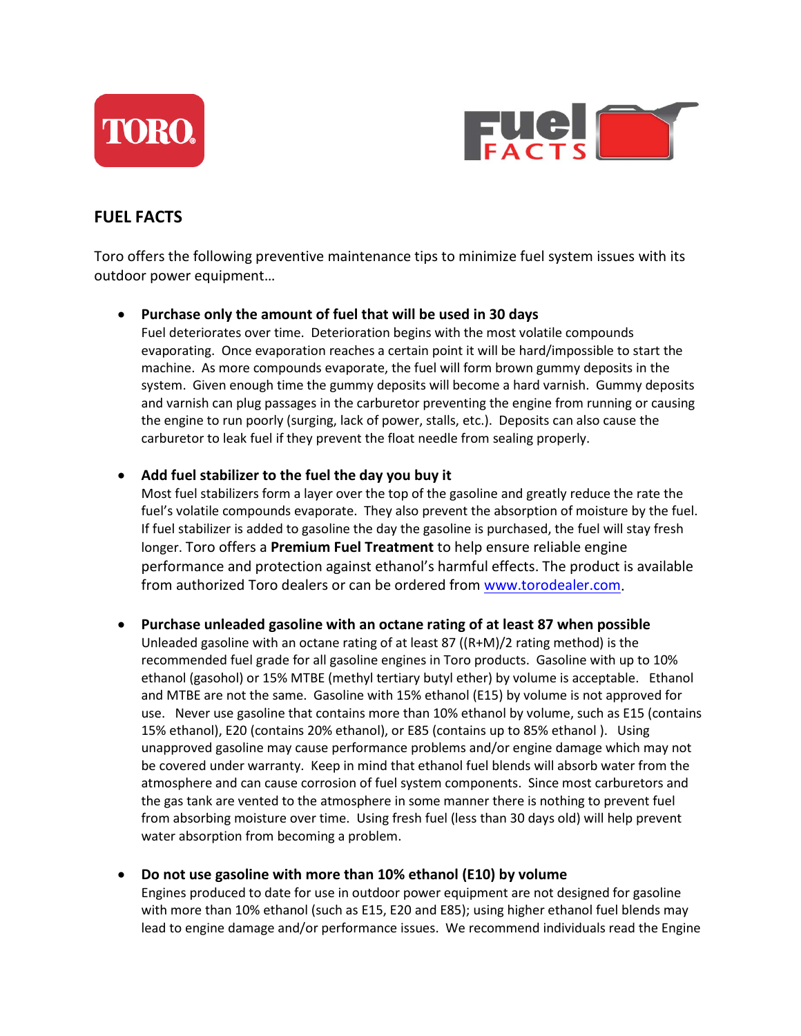



# **FUEL FACTS**

Toro offers the following preventive maintenance tips to minimize fuel system issues with its outdoor power equipment…

#### • **Purchase only the amount of fuel that will be used in 30 days**

Fuel deteriorates over time. Deterioration begins with the most volatile compounds evaporating. Once evaporation reaches a certain point it will be hard/impossible to start the machine. As more compounds evaporate, the fuel will form brown gummy deposits in the system. Given enough time the gummy deposits will become a hard varnish. Gummy deposits and varnish can plug passages in the carburetor preventing the engine from running or causing the engine to run poorly (surging, lack of power, stalls, etc.). Deposits can also cause the carburetor to leak fuel if they prevent the float needle from sealing properly.

#### • **Add fuel stabilizer to the fuel the day you buy it**

Most fuel stabilizers form a layer over the top of the gasoline and greatly reduce the rate the fuel's volatile compounds evaporate. They also prevent the absorption of moisture by the fuel. If fuel stabilizer is added to gasoline the day the gasoline is purchased, the fuel will stay fresh longer. Toro offers a **Premium Fuel Treatment** to help ensure reliable engine performance and protection against ethanol's harmful effects. The product is available from authorized Toro dealers or can be ordered from [www.torodealer.com.](http://www.torodealer.com/)

#### • **Purchase unleaded gasoline with an octane rating of at least 87 when possible**

Unleaded gasoline with an octane rating of at least 87 ((R+M)/2 rating method) is the recommended fuel grade for all gasoline engines in Toro products. Gasoline with up to 10% ethanol (gasohol) or 15% MTBE (methyl tertiary butyl ether) by volume is acceptable. Ethanol and MTBE are not the same. Gasoline with 15% ethanol (E15) by volume is not approved for use. Never use gasoline that contains more than 10% ethanol by volume, such as E15 (contains 15% ethanol), E20 (contains 20% ethanol), or E85 (contains up to 85% ethanol ). Using unapproved gasoline may cause performance problems and/or engine damage which may not be covered under warranty. Keep in mind that ethanol fuel blends will absorb water from the atmosphere and can cause corrosion of fuel system components. Since most carburetors and the gas tank are vented to the atmosphere in some manner there is nothing to prevent fuel from absorbing moisture over time. Using fresh fuel (less than 30 days old) will help prevent water absorption from becoming a problem.

### • **Do not use gasoline with more than 10% ethanol (E10) by volume**

Engines produced to date for use in outdoor power equipment are not designed for gasoline with more than 10% ethanol (such as E15, E20 and E85); using higher ethanol fuel blends may lead to engine damage and/or performance issues. We recommend individuals read the Engine